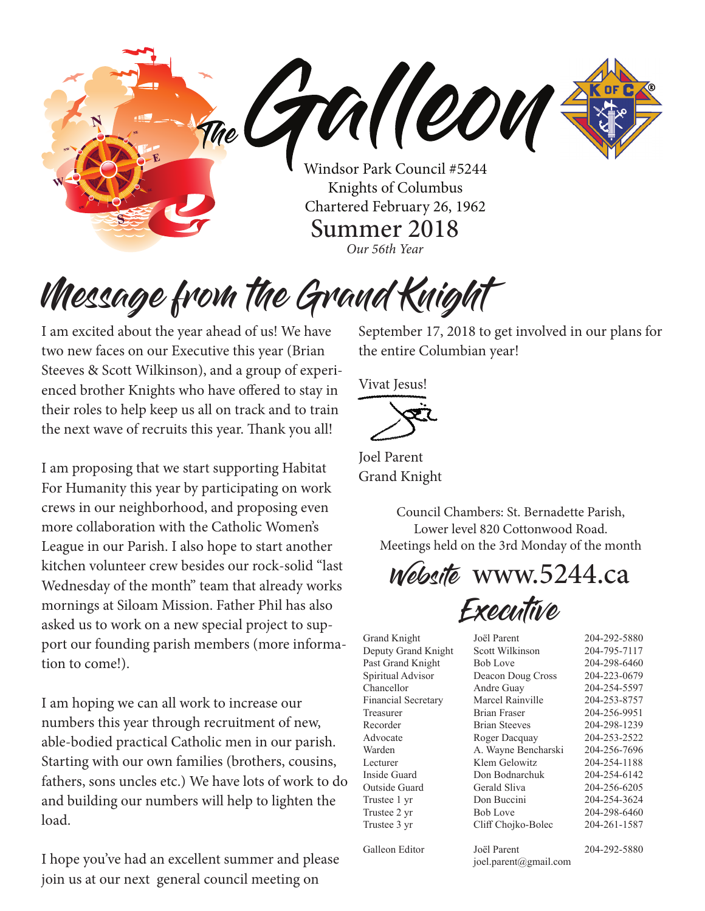

*Our 56th Year*

## Message from the Grand Knight

I am excited about the year ahead of us! We have two new faces on our Executive this year (Brian Steeves & Scott Wilkinson), and a group of experienced brother Knights who have offered to stay in their roles to help keep us all on track and to train the next wave of recruits this year. Thank you all!

I am proposing that we start supporting Habitat For Humanity this year by participating on work crews in our neighborhood, and proposing even more collaboration with the Catholic Women's League in our Parish. I also hope to start another kitchen volunteer crew besides our rock-solid "last Wednesday of the month" team that already works mornings at Siloam Mission. Father Phil has also asked us to work on a new special project to support our founding parish members (more information to come!).

I am hoping we can all work to increase our numbers this year through recruitment of new, able-bodied practical Catholic men in our parish. Starting with our own families (brothers, cousins, fathers, sons uncles etc.) We have lots of work to do and building our numbers will help to lighten the load.

I hope you've had an excellent summer and please join us at our next general council meeting on

September 17, 2018 to get involved in our plans for the entire Columbian year!

Vivat Jesus!



Joel Parent Grand Knight

> Council Chambers: St. Bernadette Parish, Lower level 820 Cottonwood Road. Meetings held on the 3rd Monday of the month

Website www.5244.ca

Executive

Joël Parent

Grand Knight Deputy Grand Knight Past Grand Knight Spiritual Advisor Chancellor Financial Secretary Treasurer Recorder Advocate Warden Lecturer Inside Guard Outside Guard Trustee 1 yr Trustee 2 yr Trustee 3 yr

Galleon Editor

Scott Wilkinson Bob Love Deacon Doug Cross Andre Guay Marcel Rainville Brian Fraser Brian Steeves Roger Dacquay A. Wayne Bencharski Klem Gelowitz Don Bodnarchuk Gerald Sliva Don Buccini Bob Love Cliff Chojko-Bolec

204-795-7117 204-298-6460 204-223-0679 204-254-5597 204-253-8757 204-256-9951 204-298-1239 204-253-2522 204-256-7696 204-254-1188 204-254-6142 204-256-6205 204-254-3624 204-298-6460 204-261-1587

204-292-5880

204-292-5880

Joël Parent joel.parent@gmail.com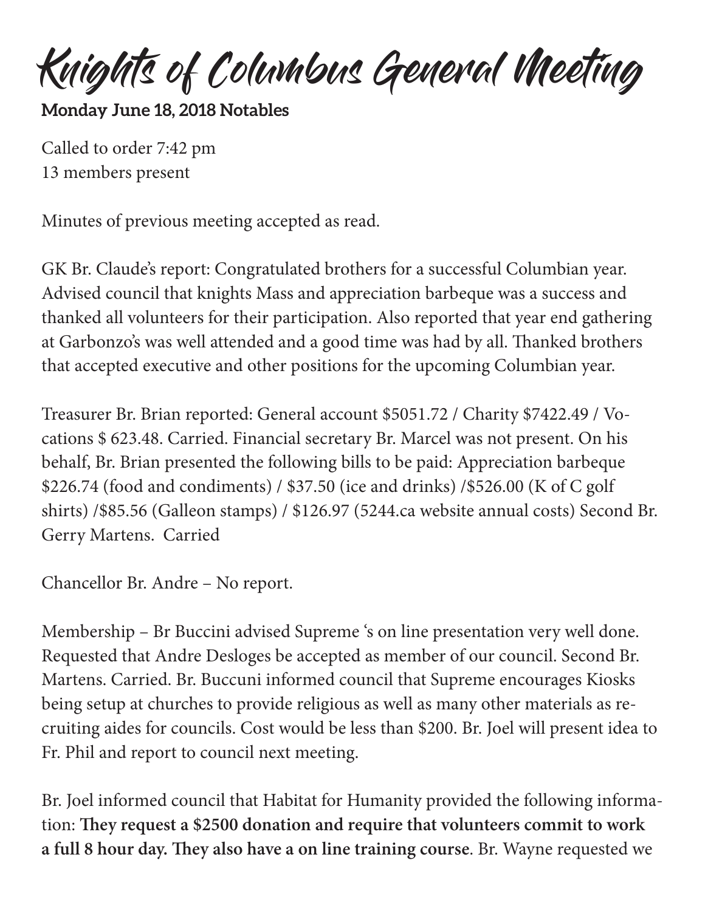Knights of Columbus General Meeting

**Monday June 18, 2018 Notables** 

Called to order 7:42 pm 13 members present

Minutes of previous meeting accepted as read.

GK Br. Claude's report: Congratulated brothers for a successful Columbian year. Advised council that knights Mass and appreciation barbeque was a success and thanked all volunteers for their participation. Also reported that year end gathering at Garbonzo's was well attended and a good time was had by all. Thanked brothers that accepted executive and other positions for the upcoming Columbian year.

Treasurer Br. Brian reported: General account \$5051.72 / Charity \$7422.49 / Vocations \$ 623.48. Carried. Financial secretary Br. Marcel was not present. On his behalf, Br. Brian presented the following bills to be paid: Appreciation barbeque \$226.74 (food and condiments) / \$37.50 (ice and drinks) /\$526.00 (K of C golf shirts) /\$85.56 (Galleon stamps) / \$126.97 (5244.ca website annual costs) Second Br. Gerry Martens. Carried

Chancellor Br. Andre – No report.

Membership – Br Buccini advised Supreme 's on line presentation very well done. Requested that Andre Desloges be accepted as member of our council. Second Br. Martens. Carried. Br. Buccuni informed council that Supreme encourages Kiosks being setup at churches to provide religious as well as many other materials as recruiting aides for councils. Cost would be less than \$200. Br. Joel will present idea to Fr. Phil and report to council next meeting.

Br. Joel informed council that Habitat for Humanity provided the following information: **They request a \$2500 donation and require that volunteers commit to work a full 8 hour day. They also have a on line training course**. Br. Wayne requested we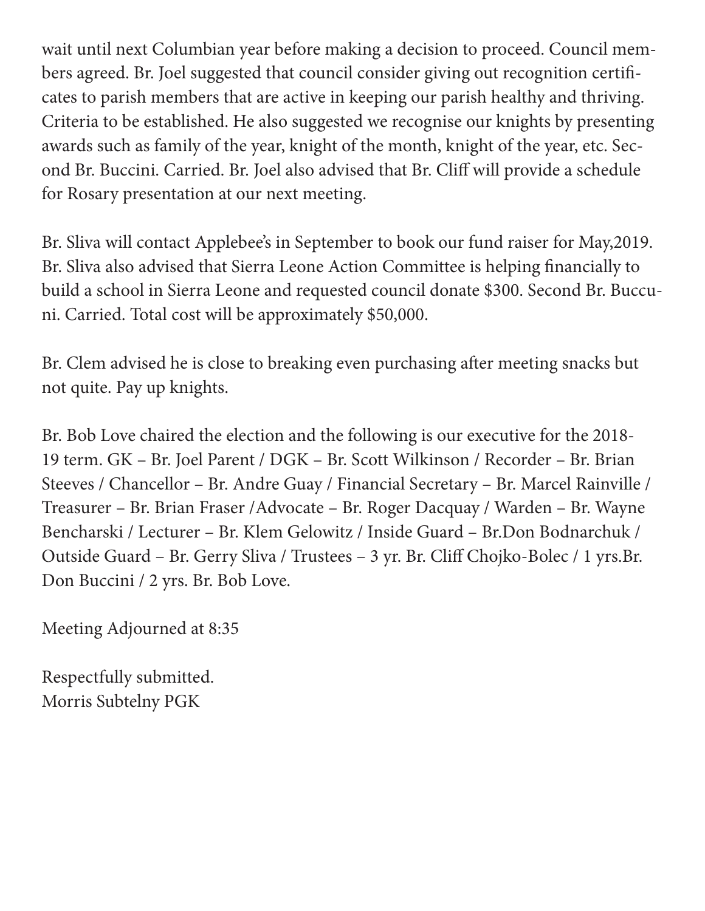wait until next Columbian year before making a decision to proceed. Council members agreed. Br. Joel suggested that council consider giving out recognition certificates to parish members that are active in keeping our parish healthy and thriving. Criteria to be established. He also suggested we recognise our knights by presenting awards such as family of the year, knight of the month, knight of the year, etc. Second Br. Buccini. Carried. Br. Joel also advised that Br. Cliff will provide a schedule for Rosary presentation at our next meeting.

Br. Sliva will contact Applebee's in September to book our fund raiser for May,2019. Br. Sliva also advised that Sierra Leone Action Committee is helping financially to build a school in Sierra Leone and requested council donate \$300. Second Br. Buccuni. Carried. Total cost will be approximately \$50,000.

Br. Clem advised he is close to breaking even purchasing after meeting snacks but not quite. Pay up knights.

Br. Bob Love chaired the election and the following is our executive for the 2018- 19 term. GK – Br. Joel Parent / DGK – Br. Scott Wilkinson / Recorder – Br. Brian Steeves / Chancellor – Br. Andre Guay / Financial Secretary – Br. Marcel Rainville / Treasurer – Br. Brian Fraser /Advocate – Br. Roger Dacquay / Warden – Br. Wayne Bencharski / Lecturer – Br. Klem Gelowitz / Inside Guard – Br.Don Bodnarchuk / Outside Guard – Br. Gerry Sliva / Trustees – 3 yr. Br. Cliff Chojko-Bolec / 1 yrs.Br. Don Buccini / 2 yrs. Br. Bob Love.

Meeting Adjourned at 8:35

Respectfully submitted. Morris Subtelny PGK